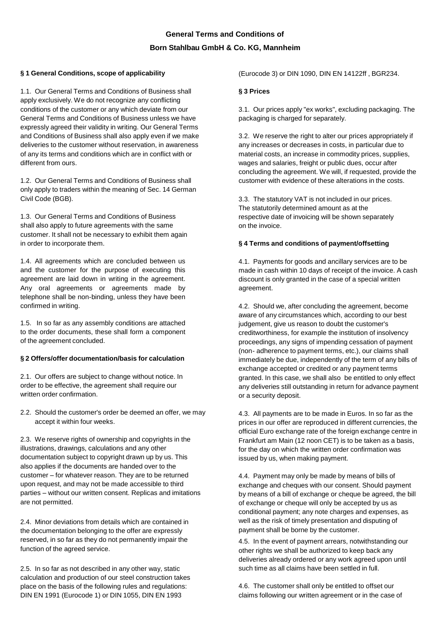# **General Terms and Conditions of Born Stahlbau GmbH & Co. KG, Mannheim**

## **§ 1 General Conditions, scope of applicability**

1.1. Our General Terms and Conditions of Business shall apply exclusively. We do not recognize any conflicting conditions of the customer or any which deviate from our General Terms and Conditions of Business unless we have expressly agreed their validity in writing. Our General Terms and Conditions of Business shall also apply even if we make deliveries to the customer without reservation, in awareness of any its terms and conditions which are in conflict with or different from ours.

1.2. Our General Terms and Conditions of Business shall only apply to traders within the meaning of Sec. 14 German Civil Code (BGB).

1.3. Our General Terms and Conditions of Business shall also apply to future agreements with the same customer. It shall not be necessary to exhibit them again in order to incorporate them.

1.4. All agreements which are concluded between us and the customer for the purpose of executing this agreement are laid down in writing in the agreement. Any oral agreements or agreements made by telephone shall be non-binding, unless they have been confirmed in writing.

1.5. In so far as any assembly conditions are attached to the order documents, these shall form a component of the agreement concluded.

### **§ 2 Offers/offer documentation/basis for calculation**

2.1. Our offers are subject to change without notice. In order to be effective, the agreement shall require our written order confirmation.

2.2. Should the customer's order be deemed an offer, we may accept it within four weeks.

2.3. We reserve rights of ownership and copyrights in the illustrations, drawings, calculations and any other documentation subject to copyright drawn up by us. This also applies if the documents are handed over to the customer – for whatever reason. They are to be returned upon request, and may not be made accessible to third parties – without our written consent. Replicas and imitations are not permitted.

2.4. Minor deviations from details which are contained in the documentation belonging to the offer are expressly reserved, in so far as they do not permanently impair the function of the agreed service.

2.5. In so far as not described in any other way, static calculation and production of our steel construction takes place on the basis of the following rules and regulations: DIN EN 1991 (Eurocode 1) or DIN 1055, DIN EN 1993

(Eurocode 3) or DIN 1090, DIN EN 14122ff , BGR234.

## **§ 3 Prices**

3.1. Our prices apply "ex works", excluding packaging. The packaging is charged for separately.

3.2. We reserve the right to alter our prices appropriately if any increases or decreases in costs, in particular due to material costs, an increase in commodity prices, supplies, wages and salaries, freight or public dues, occur after concluding the agreement. We will, if requested, provide the customer with evidence of these alterations in the costs.

3.3. The statutory VAT is not included in our prices. The statutorily determined amount as at the respective date of invoicing will be shown separately on the invoice.

## **§ 4 Terms and conditions of payment/offsetting**

4.1. Payments for goods and ancillary services are to be made in cash within 10 days of receipt of the invoice. A cash discount is only granted in the case of a special written agreement.

4.2. Should we, after concluding the agreement, become aware of any circumstances which, according to our best judgement, give us reason to doubt the customer's creditworthiness, for example the institution of insolvency proceedings, any signs of impending cessation of payment (non- adherence to payment terms, etc.), our claims shall immediately be due, independently of the term of any bills of exchange accepted or credited or any payment terms granted. In this case, we shall also be entitled to only effect any deliveries still outstanding in return for advance payment or a security deposit.

4.3. All payments are to be made in Euros. In so far as the prices in our offer are reproduced in different currencies, the official Euro exchange rate of the foreign exchange centre in Frankfurt am Main (12 noon CET) is to be taken as a basis, for the day on which the written order confirmation was issued by us, when making payment.

4.4. Payment may only be made by means of bills of exchange and cheques with our consent. Should payment by means of a bill of exchange or cheque be agreed, the bill of exchange or cheque will only be accepted by us as conditional payment; any note charges and expenses, as well as the risk of timely presentation and disputing of payment shall be borne by the customer.

4.5. In the event of payment arrears, notwithstanding our other rights we shall be authorized to keep back any deliveries already ordered or any work agreed upon until such time as all claims have been settled in full.

4.6. The customer shall only be entitled to offset our claims following our written agreement or in the case of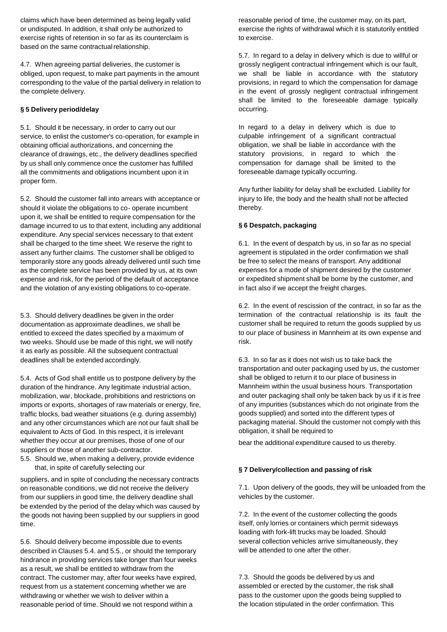claims which have been determined as being legally valid or undisputed. In addition, it shall only be authorized to exercise rights of retention in so far as its counterclaim is based on the same contractual relationship.

4.7. When agreeing partial deliveries, the customer is obliged, upon request, to make part payments in the amount corresponding to the value of the partial delivery in relation to the complete delivery.

## **§ 5 Delivery period/delay**

5.1. Should it be necessary, in order to carry out our service, to enlist the customer's co-operation, for example in obtaining official authorizations, and concerning the clearance of drawings, etc., the delivery deadlines specified by us shall only commence once the customer has fulfilled all the commitments and obligations incumbent upon it in proper form.

5.2. Should the customer fall into arrears with acceptance or should it violate the obligations to co- operate incumbent upon it, we shall be entitled to require compensation for the damage incurred to us to that extent, including any additional expenditure. Any special services necessary to that extent shall be charged to the time sheet. We reserve the right to assert any further claims. The customer shall be obliged to temporarily store any goods already delivered until such time as the complete service has been provided by us, at its own expense and risk, for the period of the default of acceptance and the violation of any existing obligations to co-operate.

5.3. Should delivery deadlines be given in the order documentation as approximate deadlines, we shall be entitled to exceed the dates specified by a maximum of two weeks. Should use be made of this right, we will notify it as early as possible. All the subsequent contractual deadlines shall be extended accordingly.

5.4. Acts of God shall entitle us to postpone delivery by the duration of the hindrance. Any legitimate industrial action, mobilization, war, blockade, prohibitions and restrictions on imports or exports, shortages of raw materials or energy, fire, traffic blocks, bad weather situations (e.g. during assembly) and any other circumstances which are not our fault shall be equivalent to Acts of God. In this respect, it is irrelevant whether they occur at our premises, those of one of our suppliers or those of another sub-contractor.

5.5. Should we, when making a delivery, provide evidence that, in spite of carefully selecting our

suppliers, and in spite of concluding the necessary contracts on reasonable conditions, we did not receive the delivery from our suppliers in good time, the delivery deadline shall be extended by the period of the delay which was caused by the goods not having been supplied by our suppliers in good time.

5.6. Should delivery become impossible due to events described in Clauses 5.4. and 5.5., or should the temporary hindrance in providing services take longer than four weeks as a result, we shall be entitled to withdraw from the contract. The customer may, after four weeks have expired, request from us a statement concerning whether we are withdrawing or whether we wish to deliver within a reasonable period of time. Should we not respond within a

reasonable period of time, the customer may, on its part, exercise the rights of withdrawal which it is statutorily entitled to exercise.

5.7. In regard to a delay in delivery which is due to willful or grossly negligent contractual infringement which is our fault, we shall be liable in accordance with the statutory provisions, in regard to which the compensation for damage in the event of grossly negligent contractual infringement shall be limited to the foreseeable damage typically occurring.

In regard to a delay in delivery which is due to culpable infringement of a significant contractual obligation, we shall be liable in accordance with the statutory provisions, in regard to which the compensation for damage shall be limited to the foreseeable damage typically occurring.

Any further liability for delay shall be excluded. Liability for injury to life, the body and the health shall not be affected thereby.

### **§ 6 Despatch, packaging**

6.1. In the event of despatch by us, in so far as no special agreement is stipulated in the order confirmation we shall be free to select the means of transport. Any additional expenses for a mode of shipment desired by the customer or expedited shipment shall be borne by the customer, and in fact also if we accept the freight charges.

6.2. In the event of rescission of the contract, in so far as the termination of the contractual relationship is its fault the customer shall be required to return the goods supplied by us to our place of business in Mannheim at its own expense and risk.

6.3. In so far as it does not wish us to take back the transportation and outer packaging used by us, the customer shall be obliged to return it to our place of business in Mannheim within the usual business hours. Transportation and outer packaging shall only be taken back by us if it is free of any impurities (substances which do not originate from the goods supplied) and sorted into the different types of packaging material. Should the customer not comply with this obligation, it shall be required to

bear the additional expenditure caused to us thereby.

### **§ 7 Delivery/collection and passing of risk**

7.1. Upon delivery of the goods, they will be unloaded from the vehicles by the customer.

7.2. In the event of the customer collecting the goods itself, only lorries or containers which permit sideways loading with fork-lift trucks may be loaded. Should several collection vehicles arrive simultaneously, they will be attended to one after the other.

7.3. Should the goods be delivered by us and assembled or erected by the customer, the risk shall pass to the customer upon the goods being supplied to the location stipulated in the order confirmation. This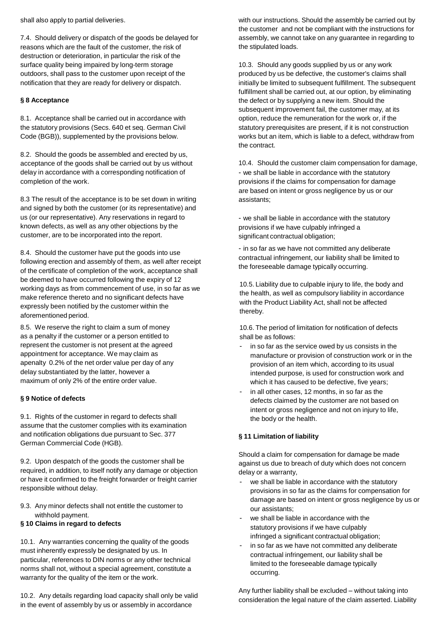shall also apply to partial deliveries.

7.4. Should delivery or dispatch of the goods be delayed for reasons which are the fault of the customer, the risk of destruction or deterioration, in particular the risk of the surface quality being impaired by long-term storage outdoors, shall pass to the customer upon receipt of the notification that they are ready for delivery or dispatch.

## **§ 8 Acceptance**

8.1. Acceptance shall be carried out in accordance with the statutory provisions (Secs. 640 et seq. German Civil Code (BGB)), supplemented by the provisions below.

8.2. Should the goods be assembled and erected by us, acceptance of the goods shall be carried out by us without delay in accordance with a corresponding notification of completion of the work.

8.3 The result of the acceptance is to be set down in writing and signed by both the customer (or its representative) and us (or our representative). Any reservations in regard to known defects, as well as any other objections by the customer, are to be incorporated into the report.

8.4. Should the customer have put the goods into use following erection and assembly of them, as well after receipt of the certificate of completion of the work, acceptance shall be deemed to have occurred following the expiry of 12 working days as from commencement of use, in so far as we make reference thereto and no significant defects have expressly been notified by the customer within the aforementioned period.

8.5. We reserve the right to claim a sum of money as a penalty if the customer or a person entitled to represent the customer is not present at the agreed appointment for acceptance. We may claim as apenalty 0.2% of the net order value per day of any delay substantiated by the latter, however a maximum of only 2% of the entire order value.

## **§ 9 Notice of defects**

9.1. Rights of the customer in regard to defects shall assume that the customer complies with its examination and notification obligations due pursuant to Sec. 377 German Commercial Code (HGB).

9.2. Upon despatch of the goods the customer shall be required, in addition, to itself notify any damage or objection or have it confirmed to the freight forwarder or freight carrier responsible without delay.

9.3. Any minor defects shall not entitle the customer to withhold payment.

### **§ 10 Claims in regard to defects**

10.1. Any warranties concerning the quality of the goods must inherently expressly be designated by us. In particular, references to DIN norms or any other technical norms shall not, without a special agreement, constitute a warranty for the quality of the item or the work.

10.2. Any details regarding load capacity shall only be valid in the event of assembly by us or assembly in accordance

with our instructions. Should the assembly be carried out by the customer and not be compliant with the instructions for assembly, we cannot take on any guarantee in regarding to the stipulated loads.

10.3. Should any goods supplied by us or any work produced by us be defective, the customer's claims shall initially be limited to subsequent fulfillment. The subsequent fulfillment shall be carried out, at our option, by eliminating the defect or by supplying a new item. Should the subsequent improvement fail, the customer may, at its option, reduce the remuneration for the work or, if the statutory prerequisites are present, if it is not construction works but an item, which is liable to a defect, withdraw from the contract.

10.4. Should the customer claim compensation for damage, - we shall be liable in accordance with the statutory provisions if the claims for compensation for damage are based on intent or gross negligence by us or our assistants;

- we shall be liable in accordance with the statutory provisions if we have culpably infringed a significant contractual obligation;

- in so far as we have not committed any deliberate contractual infringement, our liability shall be limited to the foreseeable damage typically occurring.

10.5. Liability due to culpable injury to life, the body and the health, as well as compulsory liability in accordance with the Product Liability Act, shall not be affected thereby.

10.6. The period of limitation for notification of defects shall be as follows:

- in so far as the service owed by us consists in the manufacture or provision of construction work or in the provision of an item which, according to its usual intended purpose, is used for construction work and which it has caused to be defective, five years;
- in all other cases, 12 months, in so far as the defects claimed by the customer are not based on intent or gross negligence and not on injury to life, the body or the health.

### **§ 11 Limitation of liability**

Should a claim for compensation for damage be made against us due to breach of duty which does not concern delay or a warranty,

- we shall be liable in accordance with the statutory provisions in so far as the claims for compensation for damage are based on intent or gross negligence by us or our assistants;
- we shall be liable in accordance with the statutory provisions if we have culpably infringed a significant contractual obligation;
- in so far as we have not committed any deliberate contractual infringement, our liability shall be limited to the foreseeable damage typically occurring.

Any further liability shall be excluded – without taking into consideration the legal nature of the claim asserted. Liability